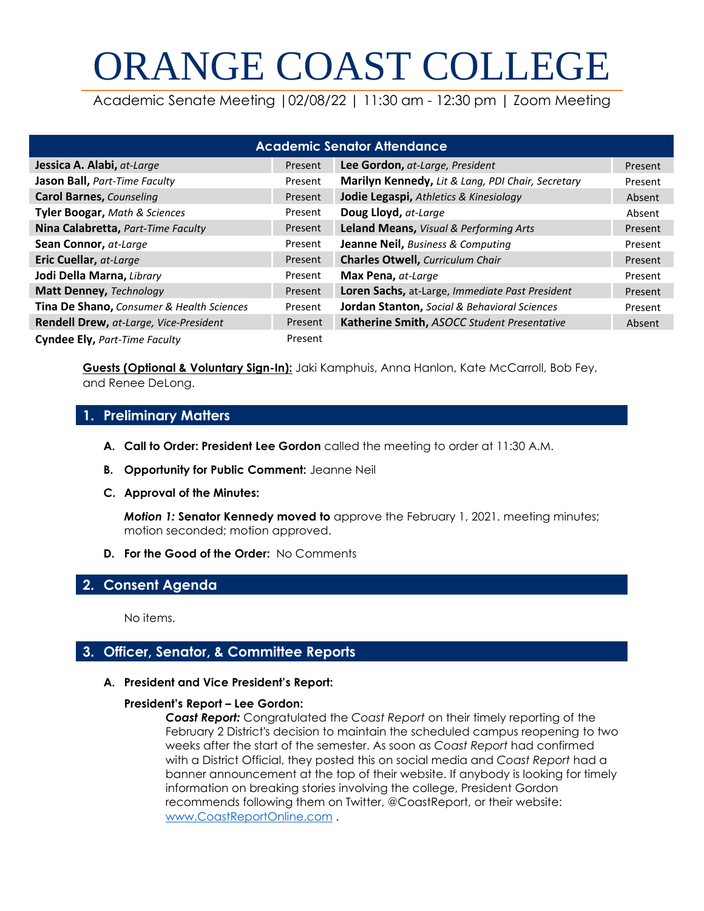# ORANGE COAST COLLEGE

Academic Senate Meeting |02/08/22 | 11:30 am - 12:30 pm | Zoom Meeting

| <b>Academic Senator Attendance</b>        |         |                                                     |         |
|-------------------------------------------|---------|-----------------------------------------------------|---------|
| Jessica A. Alabi, at-Large                | Present | Lee Gordon, at-Large, President                     | Present |
| <b>Jason Ball, Part-Time Faculty</b>      | Present | Marilyn Kennedy, Lit & Lang, PDI Chair, Secretary   | Present |
| <b>Carol Barnes, Counseling</b>           | Present | Jodie Legaspi, Athletics & Kinesiology              | Absent  |
| <b>Tyler Boogar, Math &amp; Sciences</b>  | Present | Doug Lloyd, at-Large                                | Absent  |
| Nina Calabretta, Part-Time Faculty        | Present | Leland Means, Visual & Performing Arts              | Present |
| Sean Connor, at-Large                     | Present | Jeanne Neil, Business & Computing                   | Present |
| <b>Eric Cuellar, at-Large</b>             | Present | <b>Charles Otwell, Curriculum Chair</b>             | Present |
| Jodi Della Marna, Library                 | Present | Max Pena, at-Large                                  | Present |
| Matt Denney, Technology                   | Present | Loren Sachs, at-Large, Immediate Past President     | Present |
| Tina De Shano, Consumer & Health Sciences | Present | <b>Jordan Stanton,</b> Social & Behavioral Sciences | Present |
| Rendell Drew, at-Large, Vice-President    | Present | Katherine Smith, ASOCC Student Presentative         | Absent  |
| Cyndee Ely, Part-Time Faculty             | Present |                                                     |         |

**Guests (Optional & Voluntary Sign-In):** Jaki Kamphuis, Anna Hanlon, Kate McCarroll, Bob Fey, and Renee DeLong.

# **1. Preliminary Matters**

- **A. Call to Order: President Lee Gordon** called the meeting to order at 11:30 A.M.
- **B. Opportunity for Public Comment:** Jeanne Neil
- **C. Approval of the Minutes:**

*Motion 1:* **Senator Kennedy moved to** approve the February 1, 2021. meeting minutes; motion seconded; motion approved.

**D. For the Good of the Order:** No Comments

# **2. Consent Agenda**

No items.

# **3. Officer, Senator, & Committee Reports**

**A. President and Vice President's Report:** 

#### **President's Report – Lee Gordon:**

*Coast Report:* Congratulated the *Coast Report* on their timely reporting of the February 2 District's decision to maintain the scheduled campus reopening to two weeks after the start of the semester. As soon as *Coast Report* had confirmed with a District Official, they posted this on social media and *Coast Report* had a banner announcement at the top of their website. If anybody is looking for timely information on breaking stories involving the college, President Gordon recommends following them on Twitter, @CoastReport, or their website: [www.CoastReportOnline.com](http://www.coastreportonline.com/) .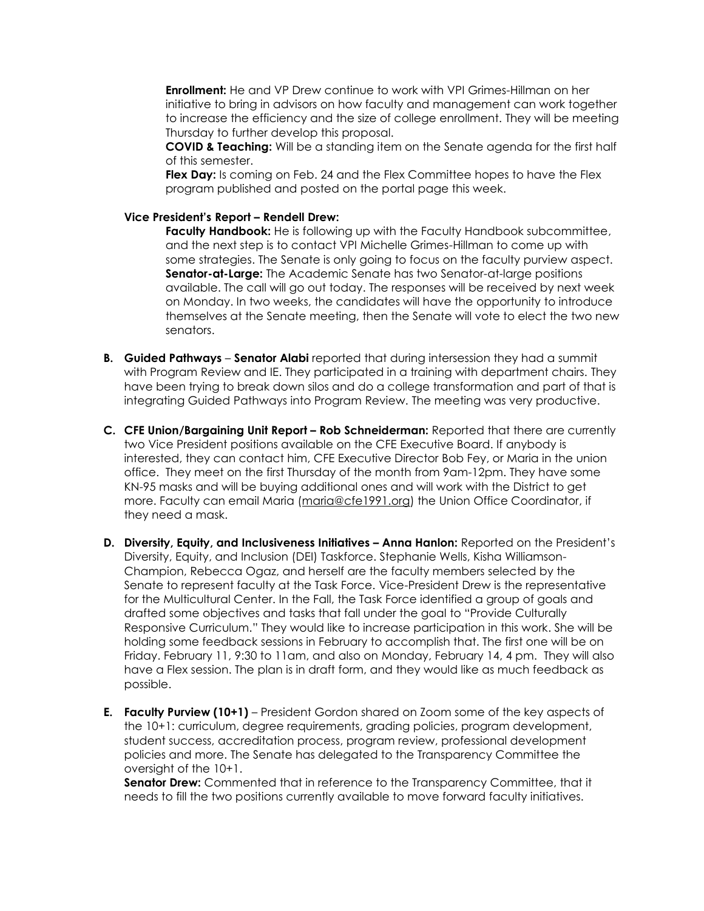**Enrollment:** He and VP Drew continue to work with VPI Grimes-Hillman on her initiative to bring in advisors on how faculty and management can work together to increase the efficiency and the size of college enrollment. They will be meeting Thursday to further develop this proposal.

**COVID & Teaching:** Will be a standing item on the Senate agenda for the first half of this semester.

**Flex Day:** Is coming on Feb. 24 and the Flex Committee hopes to have the Flex program published and posted on the portal page this week.

#### **Vice President's Report – Rendell Drew:**

**Faculty Handbook:** He is following up with the Faculty Handbook subcommittee, and the next step is to contact VPI Michelle Grimes-Hillman to come up with some strategies. The Senate is only going to focus on the faculty purview aspect. **Senator-at-Large:** The Academic Senate has two Senator-at-large positions available. The call will go out today. The responses will be received by next week on Monday. In two weeks, the candidates will have the opportunity to introduce themselves at the Senate meeting, then the Senate will vote to elect the two new senators.

- **B. Guided Pathways Senator Alabi** reported that during intersession they had a summit with Program Review and IE. They participated in a training with department chairs. They have been trying to break down silos and do a college transformation and part of that is integrating Guided Pathways into Program Review. The meeting was very productive.
- **C. CFE Union/Bargaining Unit Report – Rob Schneiderman:** Reported that there are currently two Vice President positions available on the CFE Executive Board. If anybody is interested, they can contact him, CFE Executive Director Bob Fey, or Maria in the union office. They meet on the first Thursday of the month from 9am-12pm. They have some KN-95 masks and will be buying additional ones and will work with the District to get more. Faculty can email Maria [\(maria@cfe1991.org\)](mailto:maria@cfe1991.org) the Union Office Coordinator, if they need a mask.
- **D. Diversity, Equity, and Inclusiveness Initiatives – Anna Hanlon:** Reported on the President's Diversity, Equity, and Inclusion (DEI) Taskforce. Stephanie Wells, Kisha Williamson-Champion, Rebecca Ogaz, and herself are the faculty members selected by the Senate to represent faculty at the Task Force. Vice-President Drew is the representative for the Multicultural Center. In the Fall, the Task Force identified a group of goals and drafted some objectives and tasks that fall under the goal to "Provide Culturally Responsive Curriculum." They would like to increase participation in this work. She will be holding some feedback sessions in February to accomplish that. The first one will be on Friday. February 11, 9:30 to 11am, and also on Monday, February 14, 4 pm. They will also have a Flex session. The plan is in draft form, and they would like as much feedback as possible.
- **E. Faculty Purview (10+1)** President Gordon shared on Zoom some of the key aspects of the 10+1: curriculum, degree requirements, grading policies, program development, student success, accreditation process, program review, professional development policies and more. The Senate has delegated to the Transparency Committee the oversight of the 10+1.

Senator Drew: Commented that in reference to the Transparency Committee, that it needs to fill the two positions currently available to move forward faculty initiatives.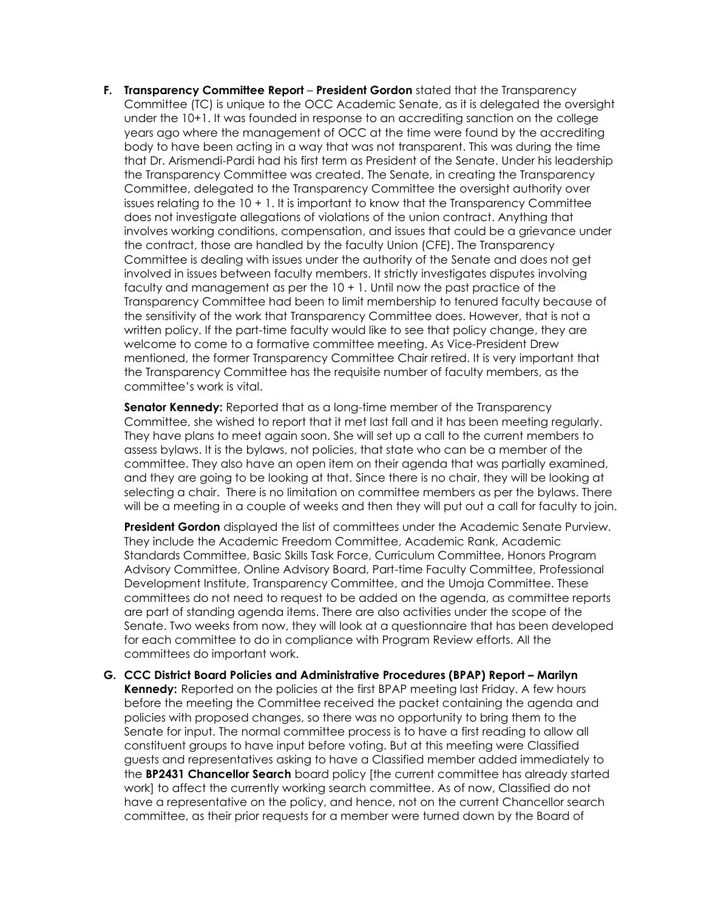**F. Transparency Committee Report – President Gordon** stated that the Transparency Committee (TC) is unique to the OCC Academic Senate, as it is delegated the oversight under the 10+1. It was founded in response to an accrediting sanction on the college years ago where the management of OCC at the time were found by the accrediting body to have been acting in a way that was not transparent. This was during the time that Dr. Arismendi-Pardi had his first term as President of the Senate. Under his leadership the Transparency Committee was created. The Senate, in creating the Transparency Committee, delegated to the Transparency Committee the oversight authority over issues relating to the 10 + 1. It is important to know that the Transparency Committee does not investigate allegations of violations of the union contract. Anything that involves working conditions, compensation, and issues that could be a grievance under the contract, those are handled by the faculty Union (CFE). The Transparency Committee is dealing with issues under the authority of the Senate and does not get involved in issues between faculty members. It strictly investigates disputes involving faculty and management as per the 10 + 1. Until now the past practice of the Transparency Committee had been to limit membership to tenured faculty because of the sensitivity of the work that Transparency Committee does. However, that is not a written policy. If the part-time faculty would like to see that policy change, they are welcome to come to a formative committee meeting. As Vice-President Drew mentioned, the former Transparency Committee Chair retired. It is very important that the Transparency Committee has the requisite number of faculty members, as the committee's work is vital.

**Senator Kennedy:** Reported that as a long-time member of the Transparency Committee, she wished to report that it met last fall and it has been meeting regularly. They have plans to meet again soon. She will set up a call to the current members to assess bylaws. It is the bylaws, not policies, that state who can be a member of the committee. They also have an open item on their agenda that was partially examined, and they are going to be looking at that. Since there is no chair, they will be looking at selecting a chair. There is no limitation on committee members as per the bylaws. There will be a meeting in a couple of weeks and then they will put out a call for faculty to join.

**President Gordon** displayed the list of committees under the Academic Senate Purview. They include the Academic Freedom Committee, Academic Rank, Academic Standards Committee, Basic Skills Task Force, Curriculum Committee, Honors Program Advisory Committee, Online Advisory Board, Part-time Faculty Committee, Professional Development Institute, Transparency Committee, and the Umoja Committee. These committees do not need to request to be added on the agenda, as committee reports are part of standing agenda items. There are also activities under the scope of the Senate. Two weeks from now, they will look at a questionnaire that has been developed for each committee to do in compliance with Program Review efforts. All the committees do important work.

**G. CCC District Board Policies and Administrative Procedures (BPAP) Report – Marilyn Kennedy:** Reported on the policies at the first BPAP meeting last Friday. A few hours before the meeting the Committee received the packet containing the agenda and policies with proposed changes, so there was no opportunity to bring them to the Senate for input. The normal committee process is to have a first reading to allow all constituent groups to have input before voting. But at this meeting were Classified guests and representatives asking to have a Classified member added immediately to the **BP2431 Chancellor Search** board policy [the current committee has already started work] to affect the currently working search committee. As of now, Classified do not have a representative on the policy, and hence, not on the current Chancellor search committee, as their prior requests for a member were turned down by the Board of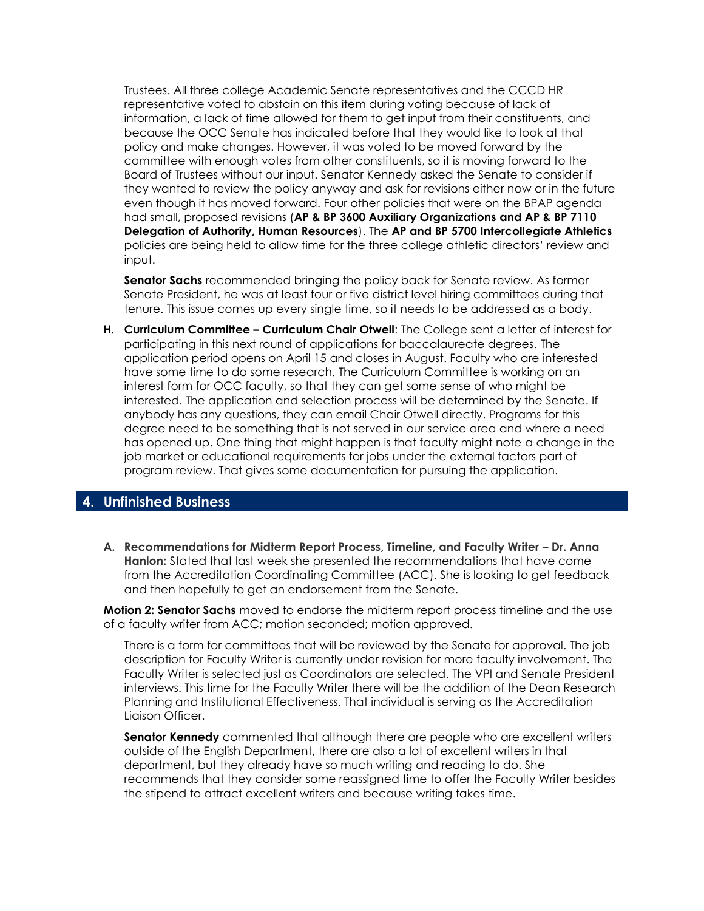Trustees. All three college Academic Senate representatives and the CCCD HR representative voted to abstain on this item during voting because of lack of information, a lack of time allowed for them to get input from their constituents, and because the OCC Senate has indicated before that they would like to look at that policy and make changes. However, it was voted to be moved forward by the committee with enough votes from other constituents, so it is moving forward to the Board of Trustees without our input. Senator Kennedy asked the Senate to consider if they wanted to review the policy anyway and ask for revisions either now or in the future even though it has moved forward. Four other policies that were on the BPAP agenda had small, proposed revisions (**AP & BP 3600 Auxiliary Organizations and AP & BP 7110 Delegation of Authority, Human Resources**). The **AP and BP 5700 Intercollegiate Athletics** policies are being held to allow time for the three college athletic directors' review and input.

**Senator Sachs** recommended bringing the policy back for Senate review. As former Senate President, he was at least four or five district level hiring committees during that tenure. This issue comes up every single time, so it needs to be addressed as a body.

**H. Curriculum Committee – Curriculum Chair Otwell**: The College sent a letter of interest for participating in this next round of applications for baccalaureate degrees. The application period opens on April 15 and closes in August. Faculty who are interested have some time to do some research. The Curriculum Committee is working on an interest form for OCC faculty, so that they can get some sense of who might be interested. The application and selection process will be determined by the Senate. If anybody has any questions, they can email Chair Otwell directly. Programs for this degree need to be something that is not served in our service area and where a need has opened up. One thing that might happen is that faculty might note a change in the job market or educational requirements for jobs under the external factors part of program review. That gives some documentation for pursuing the application.

## **4. Unfinished Business**

A. Recommendations for Midterm Report Process, Timeline, and Faculty Writer – Dr. Anna **Hanlon:** Stated that last week she presented the recommendations that have come from the Accreditation Coordinating Committee (ACC). She is looking to get feedback and then hopefully to get an endorsement from the Senate.

**Motion 2: Senator Sachs** moved to endorse the midterm report process timeline and the use of a faculty writer from ACC; motion seconded; motion approved.

There is a form for committees that will be reviewed by the Senate for approval. The job description for Faculty Writer is currently under revision for more faculty involvement. The Faculty Writer is selected just as Coordinators are selected. The VPI and Senate President interviews. This time for the Faculty Writer there will be the addition of the Dean Research Planning and Institutional Effectiveness. That individual is serving as the Accreditation Liaison Officer.

**Senator Kennedy** commented that although there are people who are excellent writers outside of the English Department, there are also a lot of excellent writers in that department, but they already have so much writing and reading to do. She recommends that they consider some reassigned time to offer the Faculty Writer besides the stipend to attract excellent writers and because writing takes time.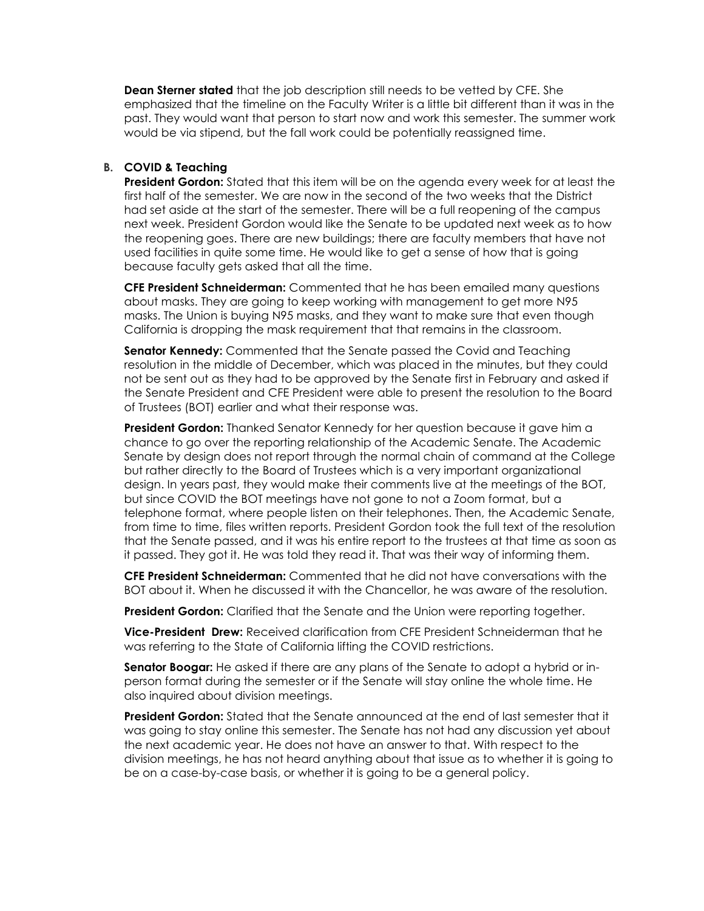**Dean Sterner stated** that the job description still needs to be vetted by CFE. She emphasized that the timeline on the Faculty Writer is a little bit different than it was in the past. They would want that person to start now and work this semester. The summer work would be via stipend, but the fall work could be potentially reassigned time.

#### **B. COVID & Teaching**

**President Gordon:** Stated that this item will be on the agenda every week for at least the first half of the semester. We are now in the second of the two weeks that the District had set aside at the start of the semester. There will be a full reopening of the campus next week. President Gordon would like the Senate to be updated next week as to how the reopening goes. There are new buildings; there are faculty members that have not used facilities in quite some time. He would like to get a sense of how that is going because faculty gets asked that all the time.

**CFE President Schneiderman:** Commented that he has been emailed many questions about masks. They are going to keep working with management to get more N95 masks. The Union is buying N95 masks, and they want to make sure that even though California is dropping the mask requirement that that remains in the classroom.

**Senator Kennedy:** Commented that the Senate passed the Covid and Teaching resolution in the middle of December, which was placed in the minutes, but they could not be sent out as they had to be approved by the Senate first in February and asked if the Senate President and CFE President were able to present the resolution to the Board of Trustees (BOT) earlier and what their response was.

**President Gordon:** Thanked Senator Kennedy for her question because it gave him a chance to go over the reporting relationship of the Academic Senate. The Academic Senate by design does not report through the normal chain of command at the College but rather directly to the Board of Trustees which is a very important organizational design. In years past, they would make their comments live at the meetings of the BOT, but since COVID the BOT meetings have not gone to not a Zoom format, but a telephone format, where people listen on their telephones. Then, the Academic Senate, from time to time, files written reports. President Gordon took the full text of the resolution that the Senate passed, and it was his entire report to the trustees at that time as soon as it passed. They got it. He was told they read it. That was their way of informing them.

**CFE President Schneiderman:** Commented that he did not have conversations with the BOT about it. When he discussed it with the Chancellor, he was aware of the resolution.

**President Gordon:** Clarified that the Senate and the Union were reporting together.

**Vice-President Drew:** Received clarification from CFE President Schneiderman that he was referring to the State of California lifting the COVID restrictions.

**Senator Boogar:** He asked if there are any plans of the Senate to adopt a hybrid or inperson format during the semester or if the Senate will stay online the whole time. He also inquired about division meetings.

**President Gordon:** Stated that the Senate announced at the end of last semester that it was going to stay online this semester. The Senate has not had any discussion yet about the next academic year. He does not have an answer to that. With respect to the division meetings, he has not heard anything about that issue as to whether it is going to be on a case-by-case basis, or whether it is going to be a general policy.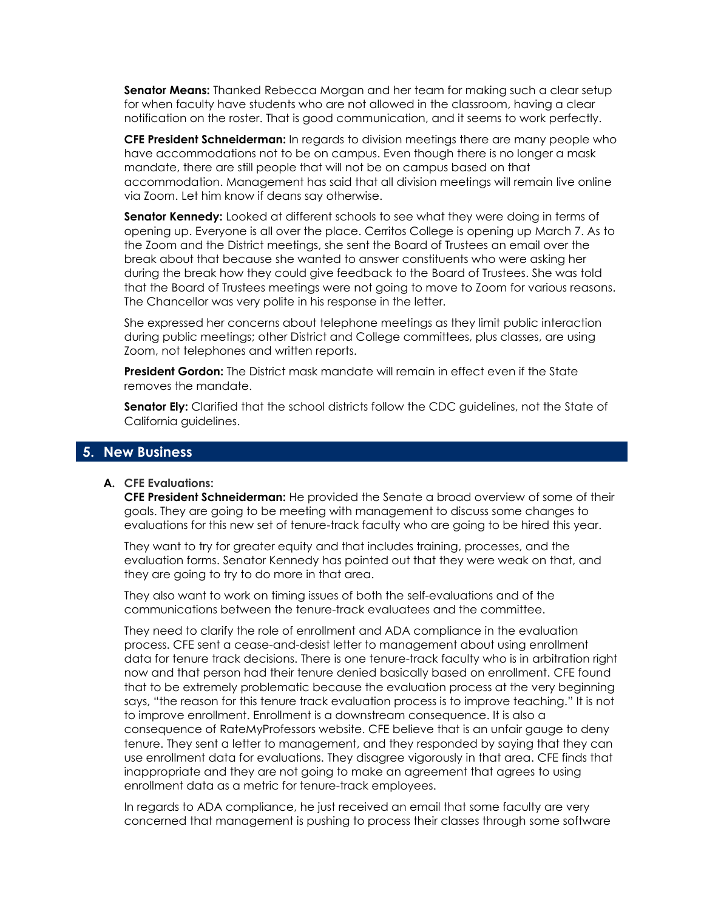**Senator Means:** Thanked Rebecca Morgan and her team for making such a clear setup for when faculty have students who are not allowed in the classroom, having a clear notification on the roster. That is good communication, and it seems to work perfectly.

**CFE President Schneiderman:** In regards to division meetings there are many people who have accommodations not to be on campus. Even though there is no longer a mask mandate, there are still people that will not be on campus based on that accommodation. Management has said that all division meetings will remain live online via Zoom. Let him know if deans say otherwise.

**Senator Kennedy:** Looked at different schools to see what they were doing in terms of opening up. Everyone is all over the place. Cerritos College is opening up March 7. As to the Zoom and the District meetings, she sent the Board of Trustees an email over the break about that because she wanted to answer constituents who were asking her during the break how they could give feedback to the Board of Trustees. She was told that the Board of Trustees meetings were not going to move to Zoom for various reasons. The Chancellor was very polite in his response in the letter.

She expressed her concerns about telephone meetings as they limit public interaction during public meetings; other District and College committees, plus classes, are using Zoom, not telephones and written reports.

**President Gordon:** The District mask mandate will remain in effect even if the State removes the mandate.

**Senator Ely:** Clarified that the school districts follow the CDC quidelines, not the State of California guidelines.

## **5. New Business**

#### **A. CFE Evaluations:**

**CFE President Schneiderman:** He provided the Senate a broad overview of some of their goals. They are going to be meeting with management to discuss some changes to evaluations for this new set of tenure-track faculty who are going to be hired this year.

They want to try for greater equity and that includes training, processes, and the evaluation forms. Senator Kennedy has pointed out that they were weak on that, and they are going to try to do more in that area.

They also want to work on timing issues of both the self-evaluations and of the communications between the tenure-track evaluatees and the committee.

They need to clarify the role of enrollment and ADA compliance in the evaluation process. CFE sent a cease-and-desist letter to management about using enrollment data for tenure track decisions. There is one tenure-track faculty who is in arbitration right now and that person had their tenure denied basically based on enrollment. CFE found that to be extremely problematic because the evaluation process at the very beginning says, "the reason for this tenure track evaluation process is to improve teaching." It is not to improve enrollment. Enrollment is a downstream consequence. It is also a consequence of RateMyProfessors website. CFE believe that is an unfair gauge to deny tenure. They sent a letter to management, and they responded by saying that they can use enrollment data for evaluations. They disagree vigorously in that area. CFE finds that inappropriate and they are not going to make an agreement that agrees to using enrollment data as a metric for tenure-track employees.

In regards to ADA compliance, he just received an email that some faculty are very concerned that management is pushing to process their classes through some software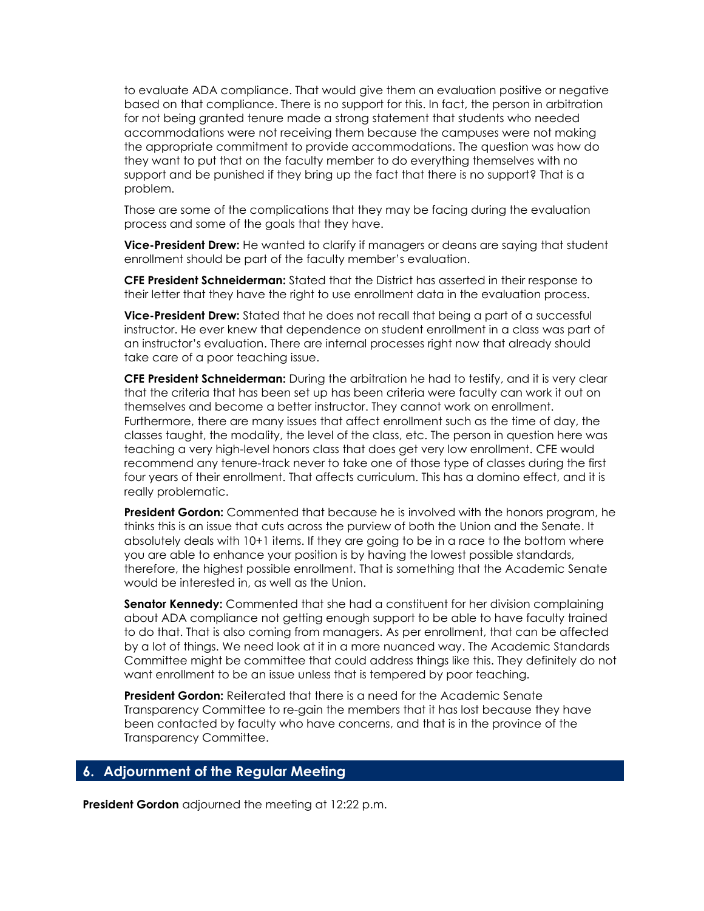to evaluate ADA compliance. That would give them an evaluation positive or negative based on that compliance. There is no support for this. In fact, the person in arbitration for not being granted tenure made a strong statement that students who needed accommodations were not receiving them because the campuses were not making the appropriate commitment to provide accommodations. The question was how do they want to put that on the faculty member to do everything themselves with no support and be punished if they bring up the fact that there is no support? That is a problem.

Those are some of the complications that they may be facing during the evaluation process and some of the goals that they have.

**Vice-President Drew:** He wanted to clarify if managers or deans are saying that student enrollment should be part of the faculty member's evaluation.

**CFE President Schneiderman:** Stated that the District has asserted in their response to their letter that they have the right to use enrollment data in the evaluation process.

**Vice-President Drew:** Stated that he does not recall that being a part of a successful instructor. He ever knew that dependence on student enrollment in a class was part of an instructor's evaluation. There are internal processes right now that already should take care of a poor teaching issue.

**CFE President Schneiderman:** During the arbitration he had to testify, and it is very clear that the criteria that has been set up has been criteria were faculty can work it out on themselves and become a better instructor. They cannot work on enrollment. Furthermore, there are many issues that affect enrollment such as the time of day, the classes taught, the modality, the level of the class, etc. The person in question here was teaching a very high-level honors class that does get very low enrollment. CFE would recommend any tenure-track never to take one of those type of classes during the first four years of their enrollment. That affects curriculum. This has a domino effect, and it is really problematic.

**President Gordon:** Commented that because he is involved with the honors program, he thinks this is an issue that cuts across the purview of both the Union and the Senate. It absolutely deals with 10+1 items. If they are going to be in a race to the bottom where you are able to enhance your position is by having the lowest possible standards, therefore, the highest possible enrollment. That is something that the Academic Senate would be interested in, as well as the Union.

**Senator Kennedy:** Commented that she had a constituent for her division complaining about ADA compliance not getting enough support to be able to have faculty trained to do that. That is also coming from managers. As per enrollment, that can be affected by a lot of things. We need look at it in a more nuanced way. The Academic Standards Committee might be committee that could address things like this. They definitely do not want enrollment to be an issue unless that is tempered by poor teaching.

**President Gordon:** Reiterated that there is a need for the Academic Senate Transparency Committee to re-gain the members that it has lost because they have been contacted by faculty who have concerns, and that is in the province of the Transparency Committee.

# **6. Adjournment of the Regular Meeting**

**President Gordon** adjourned the meeting at 12:22 p.m.